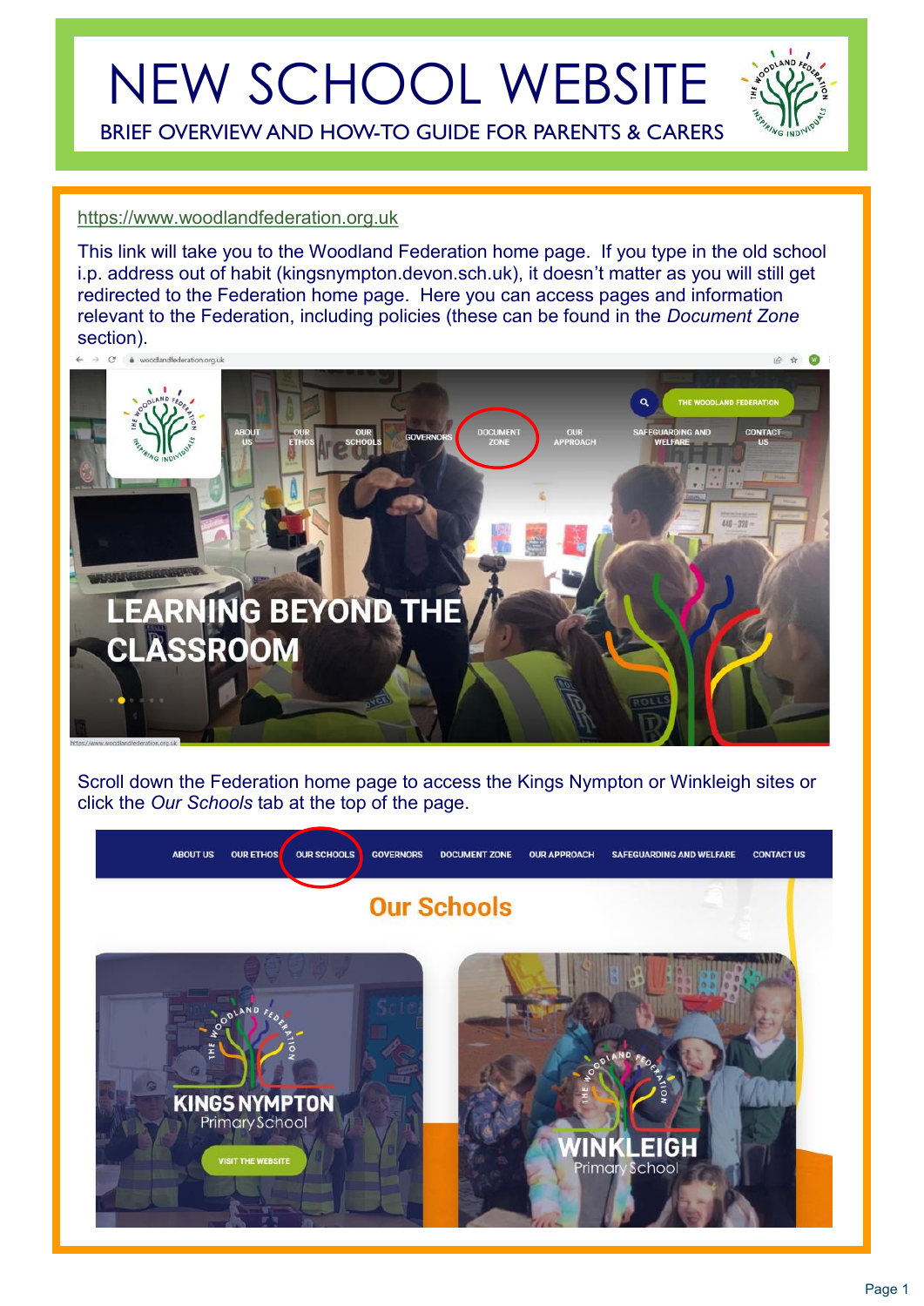# NEW SCHOOL WEBSITE

BRIEF OVERVIEW AND HOW-TO GUIDE FOR PARENTS & CARERS

#### [https://www.woodlandfederation.org.uk](https://www.woodlandfederation.org.uk/)

This link will take you to the Woodland Federation home page. If you type in the old school i.p. address out of habit (kingsnympton.devon.sch.uk), it doesn't matter as you will still get redirected to the Federation home page. Here you can access pages and information relevant to the Federation, including policies (these can be found in the *Document Zone*  section). 12 ☆ ◎ 1

 $\overline{a}$ 



Scroll down the Federation home page to access the Kings Nympton or Winkleigh sites or click the *Our Schools* tab at the top of the page.

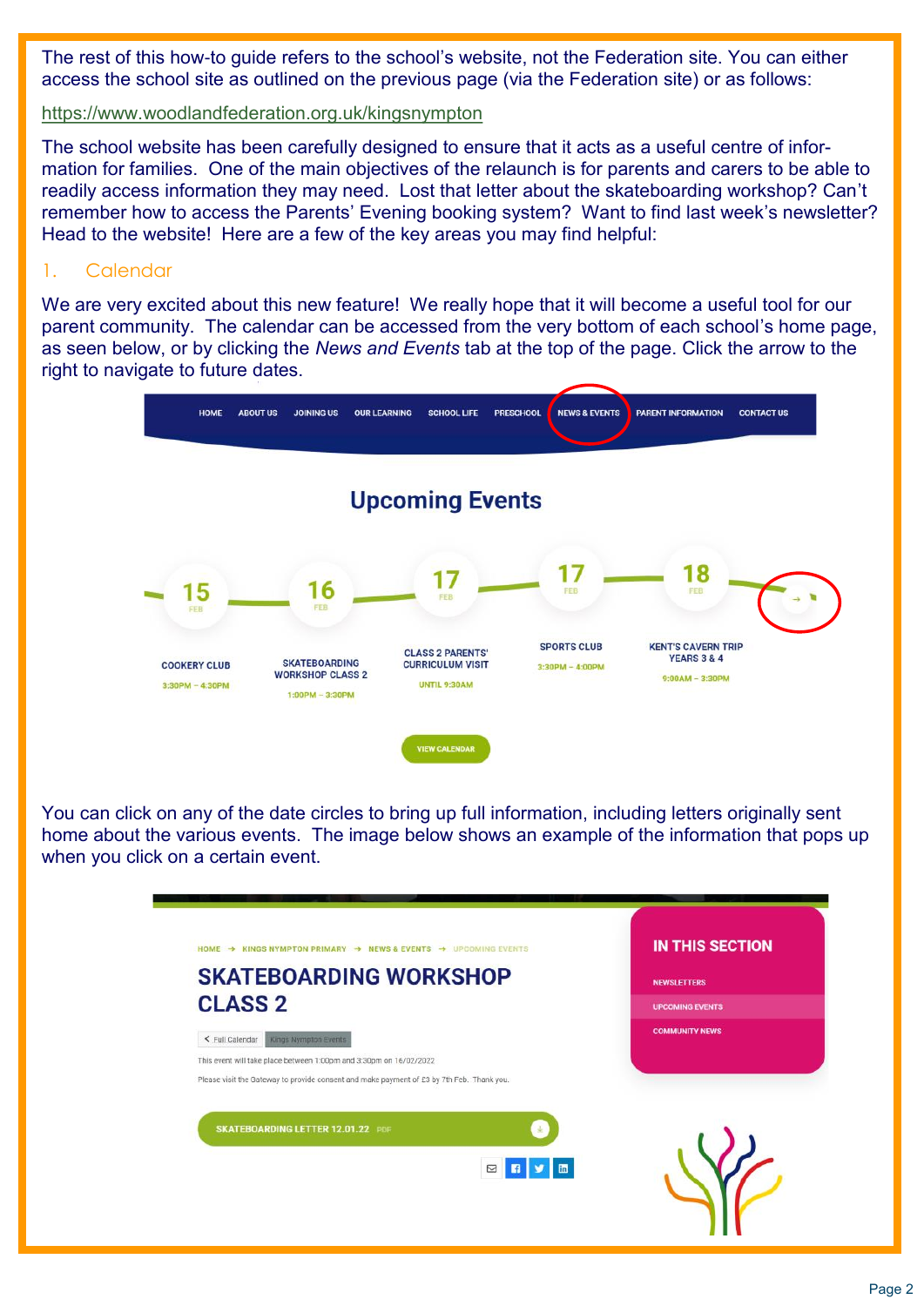The rest of this how-to guide refers to the school's website, not the Federation site. You can either access the school site as outlined on the previous page (via the Federation site) or as follows:

<https://www.woodlandfederation.org.uk/kingsnympton>

The school website has been carefully designed to ensure that it acts as a useful centre of information for families. One of the main objectives of the relaunch is for parents and carers to be able to readily access information they may need. Lost that letter about the skateboarding workshop? Can't remember how to access the Parents' Evening booking system? Want to find last week's newsletter? Head to the website! Here are a few of the key areas you may find helpful:

#### 1. Calendar

We are very excited about this new feature! We really hope that it will become a useful tool for our parent community. The calendar can be accessed from the very bottom of each school's home page, as seen below, or by clicking the *News and Events* tab at the top of the page. Click the arrow to the right to navigate to future dates.



You can click on any of the date circles to bring up full information, including letters originally sent home about the various events. The image below shows an example of the information that pops up when you click on a certain event.

| HOME → KINGS NYMPTON PRIMARY → NEWS & EVENTS → UPCOMING EVENTS                            | <b>IN THIS SECTION</b> |
|-------------------------------------------------------------------------------------------|------------------------|
| <b>SKATEBOARDING WORKSHOP</b>                                                             | <b>NEWSLETTERS</b>     |
| <b>CLASS 2</b>                                                                            | <b>UPCOMING EVENTS</b> |
| Kings Nympton Events<br>< Full Calendar                                                   | <b>COMMUNITY NEWS</b>  |
| This event will take place between 1:00pm and 3:30pm on 16/02/2022                        |                        |
| Please visit the Gateway to provide consent and make payment of £3 by 7th Feb. Thank you. |                        |
| <b>SKATEBOARDING LETTER 12.01.22 PDF</b>                                                  |                        |
| 図日】画                                                                                      |                        |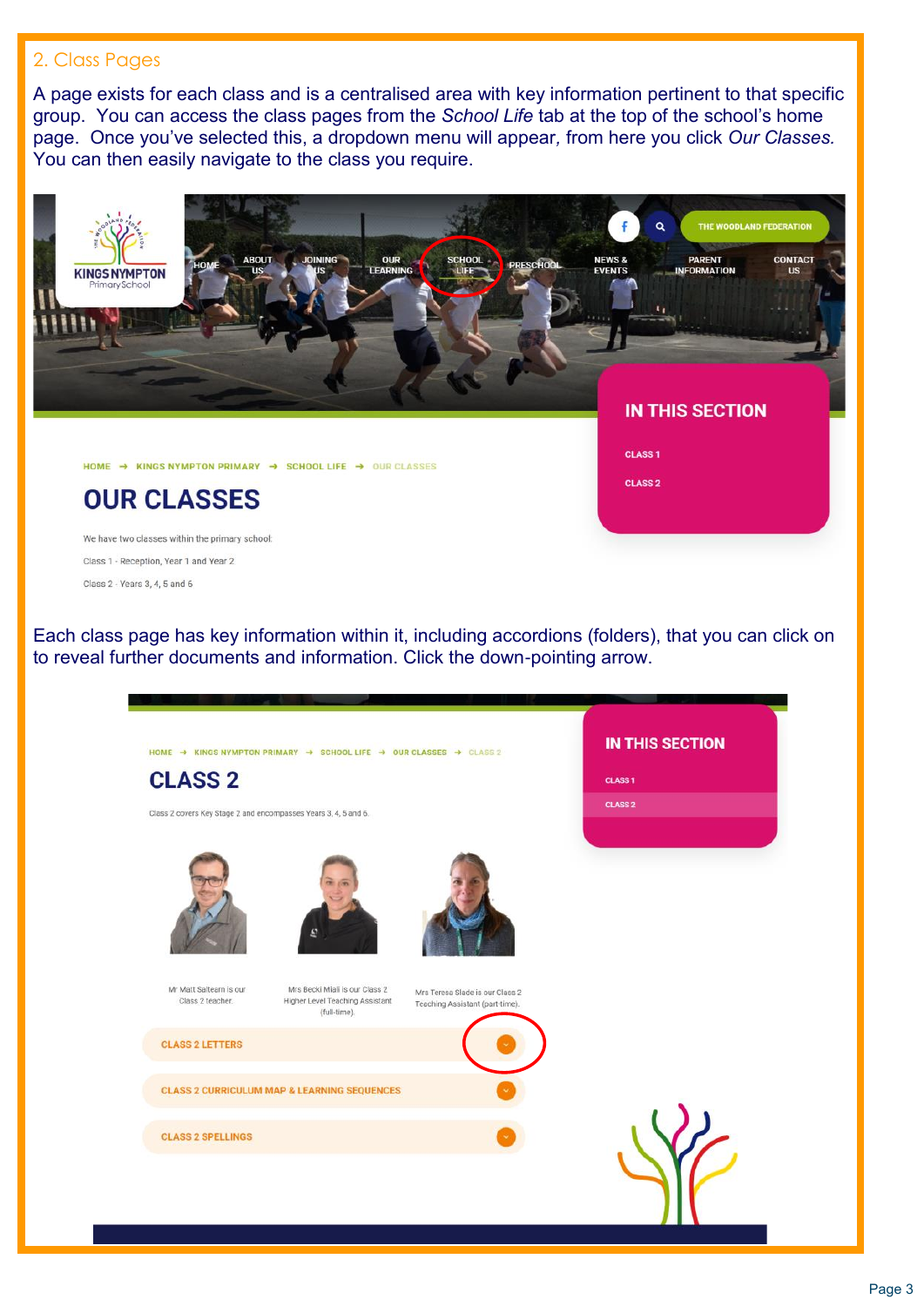#### 2. Class Pages

A page exists for each class and is a centralised area with key information pertinent to that specific group. You can access the class pages from the *School Life* tab at the top of the school's home page. Once you've selected this, a dropdown menu will appear*,* from here you click *Our Classes.*  You can then easily navigate to the class you require.



Each class page has key information within it, including accordions (folders), that you can click on to reveal further documents and information. Click the down-pointing arrow.

| <b>CLASS 2</b>                                                  |                                                                                   |                                                                    | <b>CLASS 1</b> |
|-----------------------------------------------------------------|-----------------------------------------------------------------------------------|--------------------------------------------------------------------|----------------|
| Class 2 covers Key Stage 2 and encompasses Years 3, 4, 5 and 6. |                                                                                   |                                                                    | <b>CLASS 2</b> |
|                                                                 | G                                                                                 |                                                                    |                |
| Mr Matt Saltearn is our<br>Class 2 teacher.                     | Mrs Becki Miali is our Class 2<br>Higher Level Teaching Assistant<br>(full-time). | Mrs Teresa Slade is our Class 2<br>Teaching Assistant (part-time). |                |
| <b>CLASS 2 LETTERS</b>                                          |                                                                                   |                                                                    |                |
|                                                                 | <b>CLASS 2 CURRICULUM MAP &amp; LEARNING SEQUENCES</b>                            |                                                                    |                |
| <b>CLASS 2 SPELLINGS</b>                                        |                                                                                   |                                                                    |                |